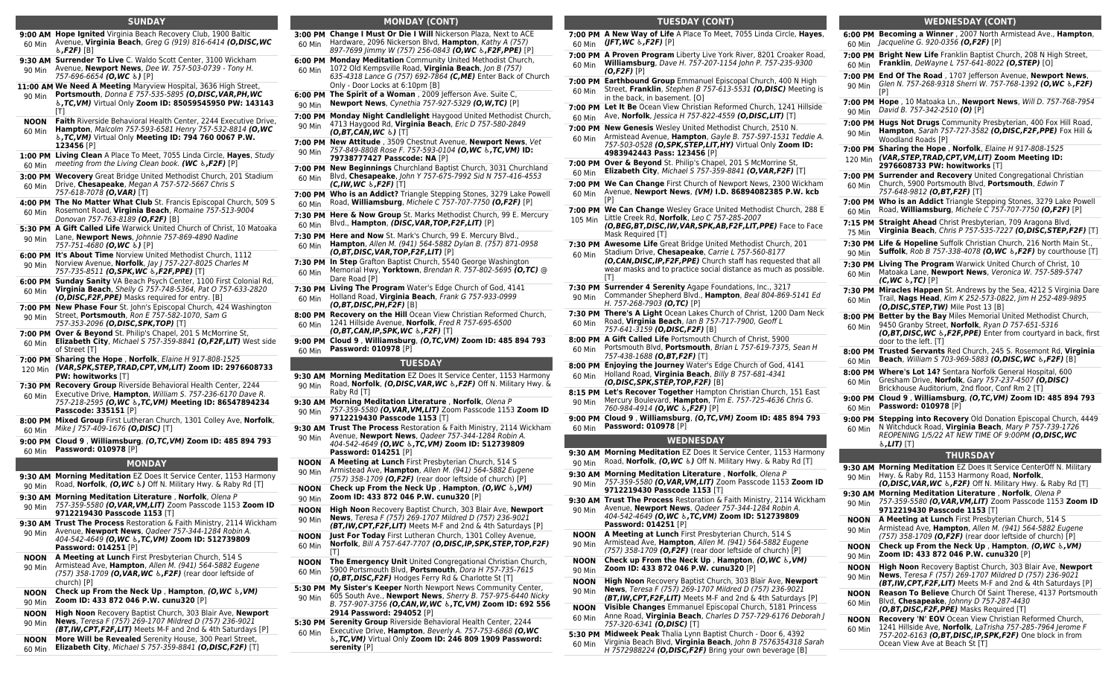#### **SUNDAY**

- **9:00 AM Hope Ignited** Virginia Beach Recovery Club, 1900 Baltic 60 Min Avenue, **Virginia Beach**, Greg G (919) 816-6414 *(O,DISC,WC ♿,F2F)* [B]
- **9:30 AM Surrender To Live** C. Waldo Scott Center, 3100 Wickham 90 Min Avenue, **Newport News**, Dee W. 757-503-0739 - Tony H. 757-696-6654 *(O,WC ♿)* [P]
- **11:00 AM We Need A Meeting** Maryview Hospital, 3636 High Street,

90 Min **Portsmouth**, Donna E 757-535-5895 *(O,DISC,VAR,PH,WC ♿,TC,VM)* Virtual Only **Zoom ID: 85059545950 PW: 143143** [T]

- **NOON** 60 Min **Faith** Riverside Behavioral Health Center, 2244 Executive Drive, **Hampton**, Malcolm 757-593-6581 Henry 757-532-8814 *(O,WC ♿,TC,VM)* Virtual Only **Meeting ID: 794 760 0067 P.W.**
- **123456** [P] **1:00 PM Living Clean** A Place To Meet, 7055 Linda Circle, **Hayes**, Study
- 60 Min meeting from the Living Clean book. *(WC ♿,F2F)* [P]
- **3:00 PM Wecovery** Great Bridge United Methodist Church, 201 Stadium 60 Min Drive, **Chesapeake**, Megan A 757-572-5667 Chris S
- 757-618-7078 *(O,VAR)* [T] **4:00 PM The No Matter What Club** St. Francis Episcopal Church, 509 S 60 Min Rosemont Road, **Virginia Beach**, Romaine 757-513-9004
- Donovan 757-763-8189 *(O,F2F)* [B] **5:30 PM A Gift Called Life** Warwick United Church of Christ, 10 Matoaka
- 90 Min Lane, **Newport News**, Johnnie 757-869-4890 Nadine 757-751-4680 *(O,WC ♿)* [P]
- **6:00 PM It's About Time** Norview United Methodist Church, 1112 90 Min Norview Avenue, **Norfolk**, Jay J 757-227-8025 Charles M
- 757-735-8511 *(O,SPK,WC ♿,F2F,PPE)* [T] **6:00 PM Sunday Sanity** VA Beach Psych Center, 1100 First Colonial Rd,
- 60 Min **Virginia Beach**, Shelly G 757-748-5364, Pat O 757-633-2820 *(O,DISC,F2F,PPE)* Masks required for entry. [B]
- **7:00 PM New Phase Four** St. John's Episcopal Church, 424 Washington 90 Min Street, **Portsmouth**, Ron E 757-582-1070, Sam G
- 757-353-2096 *(O,DISC,SPK,TOP)* [T]
- **7:00 PM Over & Beyond** St. Philip's Chapel, 201 S McMorrine St, 60 Min **Elizabeth City**, Michael S 757-359-8841 *(O,F2F,LIT)* West side of Street [T]
- **7:00 PM Sharing the Hope** , **Norfolk**, Elaine H 917-808-1525
- 120 Min *(VAR,SPK,STEP,TRAD,CPT,VM,LIT)* **Zoom ID: 2976608733 PW: howitworks** [T]
- **7:30 PM Recovery Group** Riverside Behavioral Health Center, 2244 60 Min Executive Drive, **Hampton**, William S. 757-236-6170 Dave R.
- 757-218-2595 *(O,WC ♿,TC,VM)* **Meeting ID: 86547894234 Passcode: 335151** [P]
- **8:00 PM Mixed Group** First Lutheran Church, 1301 Colley Ave, **Norfolk**, 60 Min Mike J 757-409-1676 *(O,DISC)* [T]
- **9:00 PM Cloud 9** , **Williamsburg**, *(O,TC,VM)* **Zoom ID: 485 894 793** 60 Min **Password: 010978** [P]

#### **MONDAY**

- **9:30 AM Morning Meditation** EZ Does It Service Center, 1153 Harmony 90 Min Road, **Norfolk**, *(O,WC ♿)* Off N. Military Hwy. & Raby Rd [T] **9:30 AM Morning Meditation Literature** , **Norfolk**, Olena P
- 90 Min 757-359-5580 *(O,VAR,VM,LIT)* Zoom Passcode 1153 **Zoom ID 9712219430 Passcode 1153** [T]
- **9:30 AM Trust The Process** Restoration & Faith Ministry, 2114 Wickham
- 90 Min Avenue, **Newport News**, Qadeer 757-344-1284 Robin A. 404-542-4649 *(O,WC ♿,TC,VM)* **Zoom ID: 512739809 Password: 014251** [P]
- **NOON A Meeting at Lunch** First Presbyterian Church, 514 S
- 90 Min Armistead Ave, **Hampton**, Allen M. (941) 564-5882 Eugene (757) 358-1709 *(O,VAR,WC ♿,F2F)* (rear door leftside of church) [P]
- **NOON Check up From the Neck Up** , **Hampton**, *(O,WC ♿,VM)* 90 Min **Zoom ID: 433 872 046 P.W. cunu320** [P]
- **NOON High Noon** Recovery Baptist Church, 303 Blair Ave, **Newport News**, Teresa F (757) 269-1707 Mildred D (757) 236-9021
- 90 Min *(BT,IW,CPT,F2F,LIT)* Meets M-F and 2nd & 4th Saturdays [P]
- **NOON More Will be Revealed** Serenity House, 300 Pearl Street,
- 60 Min **Elizabeth City**, Michael S 757-359-8841 *(O,DISC,F2F)* [T]

#### **MONDAY (CONT)**

**3:00 PM Change I Must Or Die I Will** Nickerson Plaza, Next to ACE 60 Min Hardware, 2096 Nickerson Blvd, **Hampton**, Kathy A (757) 897-7699 Jimmy W (757) 256-0843 *(O,WC ♿,F2F,PPE)* [P]

- **6:00 PM Monday Meditation** Community United Methodist Church, 60 Min 1072 Old Kempsville Road, **Virginia Beach**, Jon B (757)
	- 635-4318 Lance G (757) 692-7864 *(C,ME)* Enter Back of Church Only - Door Locks at 6:10pm [B]
- **6:00 PM The Spirit of a Woman** , 2009 Jefferson Ave. Suite C, 90 Min **Newport News**, Cynethia 757-927-5329 *(O,W,TC)* [P]
- **7:00 PM Monday Night Candlelight** Haygood United Methodist Church, 90 Min 4713 Haygood Rd, **Virginia Beach**, Eric D 757-580-2849 *(O,BT,CAN,WC ♿)* [T]
- **7:00 PM New Attitude** , 3509 Chestnut Avenue, **Newport News**, Vet 90 Min 757-849-8808 Rose F. 757-593-0104 *(O,WC ♿,TC,VM)* **ID: 79738777427 Passcode: NA** [P]
- **7:00 PM New Beginnings** Churchland Baptist Church, 3031 Churchland 60 Min Blvd, **Chesapeake**, John Y 757-675-7992 Sid N 757-416-4553 *(C,IW,WC ♿,F2F)* [T]
- **7:00 PM Who is an Addict?** Triangle Stepping Stones, 3279 Lake Powell 60 Min Road, **Williamsburg**, Michele C 757-707-7750 *(O,F2F)* [P]

**7:30 PM Here & Now Group** St. Marks Methodist Church, 99 E. Mercury 60 Min Blvd., **Hampton**, *(DISC,VAR,TOP,F2F,LIT)* [P]

- **7:30 PM Here and Now** St. Mark's Church, 99 E. Mercury Blvd.,
- 60 Min **Hampton**, Allen M. (941) 564-5882 Dylan B. (757) 871-0958 *(O,BT,DISC,VAR,TOP,F2F,LIT)* [P]
- **7:30 PM In Step** Grafton Baptist Church, 5540 George Washington 60 Min Memorial Hwy, **Yorktown**, Brendan R. 757-802-5695 *(O,TC)* @ Dare Road [P]
- **7:30 PM Living The Program** Water's Edge Church of God, 4141 60 Min Holland Road, **Virginia Beach**, Frank G 757-933-0999 *(O,BT,DISC,PH,F2F)* [B]
- **8:00 PM Recovery on the Hill** Ocean View Christian Reformed Church, 60 Min 1241 Hillside Avenue, **Norfolk**, Fred R 757-695-6500 *(O,BT,CAN,IP,SPK,WC ♿,F2F)* [T]
- **9:00 PM Cloud 9** , **Williamsburg**, *(O,TC,VM)* **Zoom ID: 485 894 793**
- 60 Min **Password: 010978** [P]

#### **TUESDAY**

- **9:30 AM Morning Meditation** EZ Does It Service Center, 1153 Harmony 90 Min Road, **Norfolk**, *(O,DISC,VAR,WC ♿,F2F)* Off N. Military Hwy. & Raby Rd [T]
- **9:30 AM Morning Meditation Literature** , **Norfolk**, Olena P 90 Min 757-359-5580 *(O,VAR,VM,LIT)* Zoom Passcode 1153 **Zoom ID 9712219430 Passcode 1153** [T]
- **9:30 AM Trust The Process** Restoration & Faith Ministry, 2114 Wickham
- 90 Min Avenue, **Newport News**, Qadeer 757-344-1284 Robin A. 404-542-4649 *(O,WC ♿,TC,VM)* **Zoom ID: 512739809 Password: 014251** [P]
- **NOON** 90 Min **A Meeting at Lunch** First Presbyterian Church, 514 S Armistead Ave, **Hampton**, Allen M. (941) 564-5882 Eugene (757) 358-1709 *(O,F2F)* (rear door leftside of church) [P]
- **NOON** 90 Min **Check up From the Neck Up** , **Hampton**, *(O,WC ♿,VM)* **Zoom ID: 433 872 046 P.W. cunu320** [P]
- **NOON** 90 Min **High Noon** Recovery Baptist Church, 303 Blair Ave, **Newport News**, Teresa F (757) 269-1707 Mildred D (757) 236-9021
- *(BT,IW,CPT,F2F,LIT)* Meets M-F and 2nd & 4th Saturdays [P] **NOON Just For Today** First Lutheran Church, 1301 Colley Avenue,
- 60 Min **Norfolk**, Bill A 757-647-7707 *(O,DISC,IP,SPK,STEP,TOP,F2F)*  $[T]$
- **NOON** 60 Min **The Emergency Unit** United Congregational Christian Church, 5900 Portsmouth Blvd, **Portsmouth**, Dora H 757-735-7615 *(O,BT,DISC,F2F)* Hodges Ferry Rd & Charlotte St [T]
- **5:30 PM My Sister's Keeper** North Newport News Community Center, 90 Min 605 South Ave., **Newport News**, Sherry B. 757-975-6440 Nicky
- B. 757-907-3756 *(O,CAN,W,WC ♿,TC,VM)* **Zoom ID: 692 556 2914 Password: 294052** [P]
- **5:30 PM Serenity Group** Riverside Behavioral Health Center, 2244 60 Min Executive Drive, **Hampton**, Beverly A. 757-753-6868 *(O,WC ♿,TC,VM)* Virtual Only **Zoom ID: 246 809 1909 Password: serenity** [P]

### **TUESDAY (CONT)**

**7:00 PM A New Way of Life** A Place To Meet, 7055 Linda Circle, **Hayes**, 60 Min *(JFT,WC ♿,F2F)* [P]

**WEDNESDAY (CONT) 6:00 PM Becoming a Winner** , 2007 North Armistead Ave., **Hampton**,

**7:00 PM Bright New Life** Franklin Baptist Church, 208 N High Street, 60 Min **Franklin**, DeWayne L 757-641-8022 *(O,STEP)* [O] **7:00 PM End Of The Road** , 1707 Jefferson Avenue, **Newport News**,

**7:00 PM Hope** , 10 Matoaka Ln., **Newport News**, Will D. 757-768-7954

**7:00 PM Hugs Not Drugs** Community Presbyterian, 400 Fox Hill Road,

**7:00 PM Surrender and Recovery** United Congregational Christian

**7:15 PM Straight Ahead** Christ Presbyterian, 709 Aragona Blvd,

Church, 5900 Portsmouth Blvd, **Portsmouth**, Edwin T

**7:00 PM Who is an Addict** Triangle Stepping Stones, 3279 Lake Powell

**7:30 PM Life & Hopeline** Suffolk Christian Church, 216 North Main St.,

**7:30 PM Living The Program** Warwick United Church of Christ, 10

*(O,DISC,STEP,TW)* Mile Post 13 [B]

Road, **Williamsburg**, Michele C 757-707-7750 *(O,F2F)* [P]

**Virginia Beach**, Chris P 757-535-7227 *(O,DISC,STEP,F2F)* [T]

**Suffolk**, Rob B 757-338-4078 *(O,WC ♿,F2F)* by courthouse [T]

*(O,BT,DISC,WC ♿,F2F,PPE)* Enter from courtyard in back, first

Matoaka Lane, **Newport News**, Veronica W. 757-589-5747

**7:30 PM Miracles Happen** St. Andrews by the Sea, 4212 S Virginia Dare 60 Min Trail, **Nags Head**, Kim K 252-573-0822, Jim H 252-489-9895

**8:00 PM Better by the Bay** Miles Memorial United Methodist Church, 60 Min 9450 Granby Street, **Norfolk**, Ryan D 757-651-5316

**8:00 PM Trusted Servants** Red Church, 245 S. Rosemont Rd, **Virginia** 60 Min **Beach**, William S 703-969-5883 *(O,DISC,WC ♿,F2F)* [B] **8:00 PM Where's Lot 14?** Sentara Norfolk General Hospital, 600

Gresham Drive, **Norfolk**, Gary 757-237-4507 *(O,DISC)* Brickhouse Auditorium, 2nd floor, Conf Rm 2 [T] **9:00 PM Cloud 9** , **Williamsburg**, *(O,TC,VM)* **Zoom ID: 485 894 793**

**9:00 PM Stepping into Recovery** Old Donation Episcopal Church, 4449 60 Min N Witchduck Road, **Virginia Beach**, Mary P 757-739-1726 REOPENING 1/5/22 AT NEW TIME OF 9:00PM *(O,DISC,WC*

**THURSDAY 9:30 AM Morning Meditation** EZ Does It Service CenterOff N. Military

*(O,DISC,VAR,WC ♿,F2F)* Off N. Military Hwy. & Raby Rd [T]

Armistead Ave, **Hampton**, Allen M. (941) 564-5882 Eugene (757) 358-1709 *(O,F2F)* (rear door leftside of church) [P]

**Check up From the Neck Up** , **Hampton**, *(O,WC ♿,VM)*

**News**, Teresa F (757) 269-1707 Mildred D (757) 236-9021 *(BT,IW,CPT,F2F,LIT)* Meets M-F and 2nd & 4th Saturdays [P]

**Recovery 'N' EOV** Ocean View Christian Reformed Church, 1241 Hillside Ave, **Norfolk**, LaTrisha 757-285-7964 Jerome F 757-202-6163 *(O,BT,DISC,IP,SPK,F2F)* One block in from

**Reason To Believe** Church Of Saint Therese, 4137 Portsmouth

757-359-5580 *(O,VAR,VM,LIT)* Zoom Passcode 1153 **Zoom ID**

Hwy. & Raby Rd, 1153 Harmony Road, **Norfolk**,

**9:30 AM Morning Meditation Literature** , **Norfolk**, Olena P

**Zoom ID: 433 872 046 P.W. cunu320** [P] **NOON High Noon** Recovery Baptist Church, 303 Blair Ave, **Newport**

> Blvd, **Chesapeake**, Johnny D 757-287-4430 *(O,BT,DISC,F2F,PPE)* Masks Required [T]

Ocean View Ave at Beach St [T]

**9712219430 Passcode 1153** [T] **NOON A Meeting at Lunch** First Presbyterian Church, 514 S

**7:00 PM Sharing the Hope** , **Norfolk**, Elaine H 917-808-1525 120 Min *(VAR,STEP,TRAD,CPT,VM,LIT)* **Zoom Meeting ID: 2976608733 PW: howitworks** [T]

Glen N. 757-268-9318 Sherri W. 757-768-1392 *(O,WC ♿,F2F)*

**Hampton**, Sarah 757-727-3582 *(O,DISC,F2F,PPE)* Fox Hill &

60 Min Jacqueline G. 920-0356 *(O,F2F)* [P]

90 Min David B. 757-342-2510 *(O)* [P]

Woodland Roads [P]

*(C,WC ♿,TC)* [P]

door to the left. [T]

60 Min **Password: 010978** [P]

*♿,LIT)* [T]

757-648-9812 *(O,BT,F2F)* [T]

90 Min

90 Min

60 Min

60 Min

75 Min

90 Min

60 Min

60 Min

90 Min

90 Min

90 Min

**NOON** 90 Min

90 Min

**NOON** 60 Min

**NOON** 60 Min

[P]

- **7:00 PM A Proven Program** Liberty Live York River, 8201 Croaker Road, 60 Min **Williamsburg**, Dave H. 757-207-1154 John P. 757-235-9300 *(O,F2F)* [P]
- **7:00 PM Earthbound Group** Emmanuel Episcopal Church, 400 N High 60 Min Street, **Franklin**, Stephen B 757-613-5531 *(O,DISC)* Meeting is in the back, in basement. [O]
- **7:00 PM Let It Be** Ocean View Christian Reformed Church, 1241 Hillside 60 Min Ave, **Norfolk**, Jessica H 757-822-4559 *(O,DISC,LIT)* [T]
- **7:00 PM New Genesis** Wesley United Methodist Church, 2510 N.
- 60 Min Armistead Avenue, **Hampton**, Gayle B. 757-597-1531 Teddie A. 757-503-0528 *(O,SPK,STEP,LIT,HY)* Virtual Only **Zoom ID:**
- **4983942443 Pass: 123456** [P] **7:00 PM Over & Beyond** St. Philip's Chapel, 201 S McMorrine St, **Elizabeth City**, Michael S 757-359-8841 *(O,VAR,F2F)* [T]
- 60 Min

**7:00 PM We Can Change** First Church of Newport News, 2300 Wickham 60 Min Avenue, **Newport News**, *(VM)* **I.D. 86894082385 P.W. kcb**  $[P]$ 

- **7:00 PM We Can Change** Wesley Grace United Methodist Church, 288 E 105 Min Little Creek Rd, **Norfolk**, Leo C 757-285-2007
	- *(O,BEG,BT,DISC,IW,VAR,SPK,AB,F2F,LIT,PPE)* Face to Face Mask Required [T]
- **7:30 PM Awesome Life** Great Bridge United Methodist Church, 201
- 60 Min Stadium Drive, **Chesapeake**, Carrie L 757-560-8177 *(O,CAN,DISC,IP,F2F,PPE)* Church staff has requested that all wear masks and to practice social distance as much as possible.  $[T]$
- **7:30 PM Surrender 4 Serenity** Agape Foundations, Inc., 3217
- 90 Min Commander Shepherd Blvd., **Hampton**, Beal 804-869-5141 Ed H. 757-268-7903 *(O,TC)* [P]
- **7:30 PM There's A Light** Ocean Lakes Church of Christ, 1200 Dam Neck Road, **Virginia Beach**, Ian B 757-717-7900, Geoff L
- 60 Min 757-641-3159 *(O,DISC,F2F)* [B]
- **8:00 PM A Gift Called Life** Portsmouth Church of Christ, 5900
- 60 Min Portsmouth Blvd, **Portsmouth**, Brian L 757-619-7375, Sean H 757-438-1688 *(O,BT,F2F)* [T]
- **8:00 PM Enjoying the Journey** Water's Edge Church of God, 4141 Holland Road, **Virginia Beach**, Billy B 757-681-4341
- 60 Min *(O,DISC,SPK,STEP,TOP,F2F)* [B]
- **8:15 PM Let's Recover Together** Hampton Christian Church, 151 East 90 Min Mercury Boulevard, **Hampton**, Tim E. 757-725-4636 Chris G.
- 760-984-4914 *(O,WC ♿,F2F)* [P]
- **9:00 PM Cloud 9** , **Williamsburg**, *(O,TC,VM)* **Zoom ID: 485 894 793** 60 Min **Password: 010978** [P]

#### **WEDNESDAY**

**9:30 AM Morning Meditation** EZ Does It Service Center, 1153 Harmony 90 Min Road, **Norfolk**, *(O,WC ♿)* Off N. Military Hwy. & Raby Rd [T]

- **9:30 AM Morning Meditation Literature** , **Norfolk**, Olena P 90 Min 757-359-5580 *(O,VAR,VM,LIT)* Zoom Passcode 1153 **Zoom ID**
- **9712219430 Passcode 1153** [T] **9:30 AM Trust The Process** Restoration & Faith Ministry, 2114 Wickham
- 90 Min Avenue, **Newport News**, Qadeer 757-344-1284 Robin A. 404-542-4649 *(O,WC ♿,TC,VM)* **Zoom ID: 512739809 Password: 014251** [P]
- **NOON A Meeting at Lunch** First Presbyterian Church, 514 S
- 90 Min Armistead Ave, **Hampton**, Allen M. (941) 564-5882 Eugene

**Zoom ID: 433 872 046 P.W. cunu320** [P]

757-320-6341 *(O,DISC)* [T]

90 Min

**NOON** 90 Min

**NOON** 60 Min

60 Min

(757) 358-1709 *(O,F2F)* (rear door leftside of church) [P] **NOON Check up From the Neck Up** , **Hampton**, *(O,WC ♿,VM)*

**5:30 PM Midweek Peak** Thalia Lynn Baptist Church - Door 6, 4392

**High Noon** Recovery Baptist Church, 303 Blair Ave, **Newport News**, Teresa F (757) 269-1707 Mildred D (757) 236-9021 *(BT,IW,CPT,F2F,LIT)* Meets M-F and 2nd & 4th Saturdays [P]

**Visible Changes** Emmanuel Episcopal Church, 5181 Princess Anne Road, **Virginia Beach**, Charles D 757-729-6176 Deborah J

Virginia Beach Blvd, **Virginia Beach**, John B 7576354318 Sarah H 7572988224 *(O,DISC,F2F)* Bring your own beverage [B]